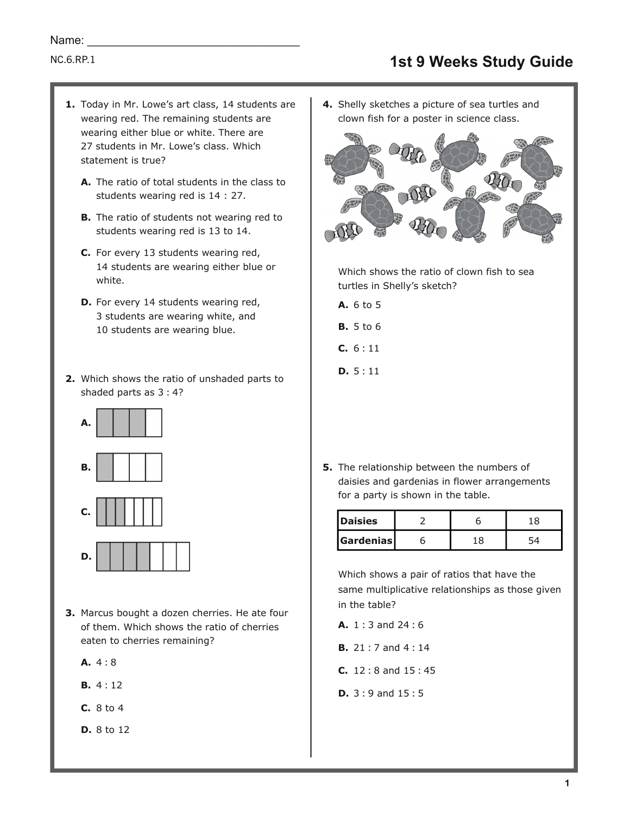- 1. Today in Mr. Lowe's art class, 14 students are wearing red. The remaining students are wearing either blue or white. There are 27 students in Mr. Lowe's class. Which statement is true?
	- A. The ratio of total students in the class to students wearing red is 14 : 27.
	- **B.** The ratio of students not wearing red to students wearing red is 13 to 14.
	- **C.** For every 13 students wearing red, 14 students are wearing either blue or white.
	- **D.** For every 14 students wearing red, 3 students are wearing white, and 10 students are wearing blue.
- Which shows the ratio of unshaded parts to **2.** shaded parts as 3 : 4?





- **3.** Marcus bought a dozen cherries. He ate four of them. Which shows the ratio of cherries eaten to cherries remaining?
	- **A.** 4 : 8

**D.**

- **B.** 4 : 12
- **C.** 8 to 4
- **D.** 8 to 12

**4.** Shelly sketches a picture of sea turtles and clown fish for a poster in science class.



Which shows the ratio of clown fish to sea turtles in Shelly's sketch?

- **A.** 6 to 5
- **B.** 5 to 6
- **C.** 6 : 11
- **D.** 5 : 11
- **5.** The relationship between the numbers of daisies and gardenias in flower arrangements for a party is shown in the table.

| Daisies          |  |  |
|------------------|--|--|
| <b>Gardenias</b> |  |  |

Which shows a pair of ratios that have the same multiplicative relationships as those given in the table?

- **A.** 1 : 3 and 24 : 6
- **B.** 21 : 7 and 4 : 14
- **C.** 12 : 8 and 15 : 45
- **D.** 3 : 9 and 15 : 5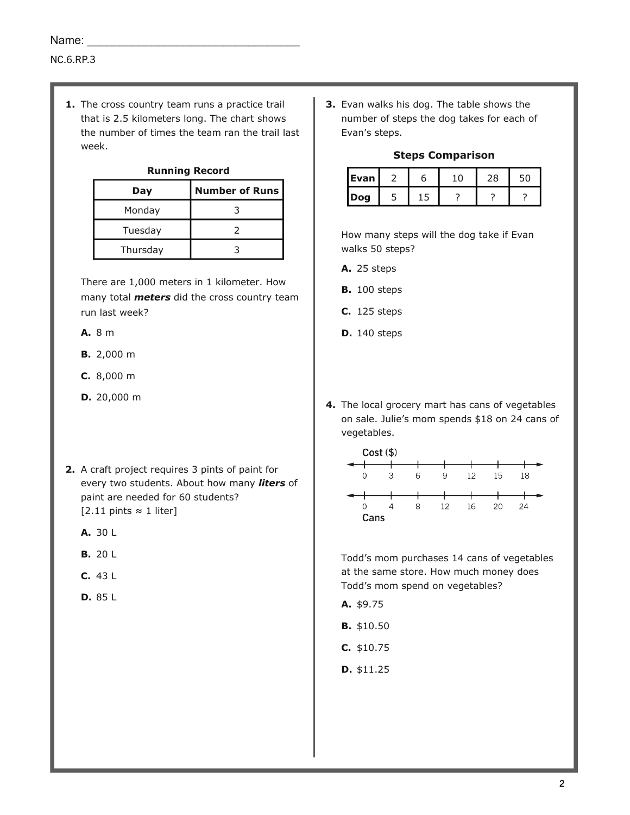**1.** The cross country team runs a practice trail that is 2.5 kilometers long. The chart shows the number of times the team ran the trail last week.

#### **Running Record**

| Day      | <b>Number of Runs</b> |
|----------|-----------------------|
| Monday   |                       |
| Tuesday  |                       |
| Thursday |                       |

There are 1,000 meters in 1 kilometer. How many total *meters* did the cross country team run last week?

- **A.** 8 m
- **B.** 2,000 m
- **C.** 8,000 m
- **D.** 20,000 m
- **2.** A craft project requires 3 pints of paint for every two students. About how many *liters* of paint are needed for 60 students? [2.11 pints ≈ 1 liter]
	- **A.** 30 L
	- **B.** 20 L
	- **C.** 43 L
	- **D.** 85 L

**3.** Evan walks his dog. The table shows the number of steps the dog takes for each of Evan's steps.

## **Steps Comparison**

| Evan | r | с |  |
|------|---|---|--|
| Dog  |   |   |  |

How many steps will the dog take if Evan walks 50 steps?

- **A.** 25 steps
- **B.** 100 steps
- **C.** 125 steps
- **D.** 140 steps
- **4.** The local grocery mart has cans of vegetables on sale. Julie's mom spends \$18 on 24 cans of vegetables.



Todd's mom purchases 14 cans of vegetables at the same store. How much money does Todd's mom spend on vegetables?

- **A.** \$9.75
- **B.** \$10.50
- **C.** \$10.75
- **D.** \$11.25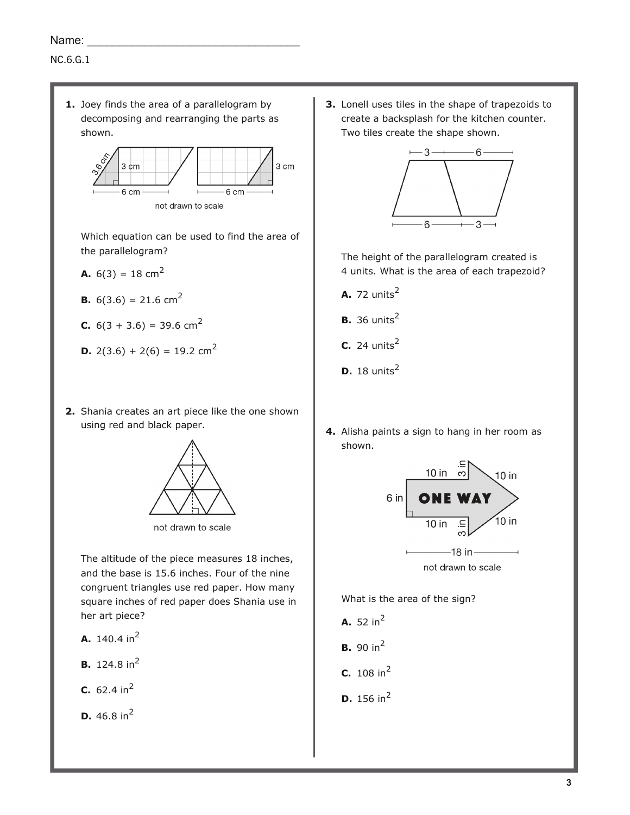## NC.6.G.1

**1.** Joey finds the area of a parallelogram by decomposing and rearranging the parts as shown.



Which equation can be used to find the area of the parallelogram?

**A.**  $6(3) = 18 \text{ cm}^2$ 

**B.** 
$$
6(3.6) = 21.6
$$
 cm<sup>2</sup>

- **C.**  $6(3 + 3.6) = 39.6$  cm<sup>2</sup>
- **D.** 2(3.6) + 2(6) = 19.2 cm<sup>2</sup>
- 2. Shania creates an art piece like the one shown using red and black paper.



not drawn to scale

The altitude of the piece measures 18 inches, and the base is 15.6 inches. Four of the nine congruent triangles use red paper. How many square inches of red paper does Shania use in her art piece?

- **A.** 140.4 in<sup>2</sup>
- **B.** 124.8 in<sup>2</sup>
- **C.** 62.4  $in^2$
- **D.** 46.8 in<sup>2</sup>

**3.** Lonell uses tiles in the shape of trapezoids to create a backsplash for the kitchen counter. Two tiles create the shape shown.



The height of the parallelogram created is 4 units. What is the area of each trapezoid?

- **A.** 72 units<sup>2</sup>
- **B.** 36 units<sup>2</sup>
- 24 units<sup>2</sup> **C.**
- **D.** 18 units<sup>2</sup>
- **4.** Alisha paints a sign to hang in her room as shown.



What is the area of the sign?

- **A.** 52 in<sup>2</sup>
- **B.** 90 in<sup>2</sup>
- **C.** 108 in<sup>2</sup>
- **D.** 156 in<sup>2</sup>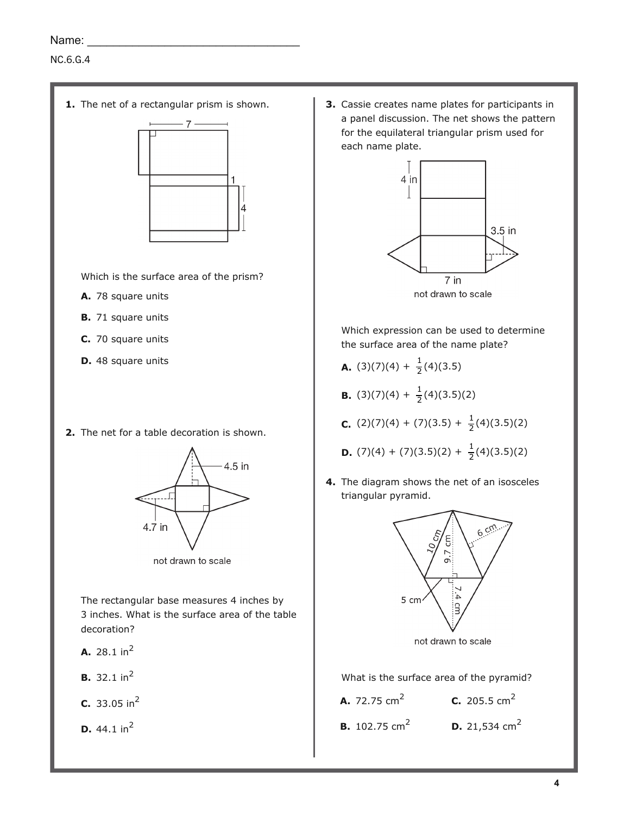# NC.6.G.4

**1.** The net of a rectangular prism is shown.



Which is the surface area of the prism?

- **A.** 78 square units
- **B.** 71 square units
- **C.** 70 square units
- **D.** 48 square units
- **2.** The net for a table decoration is shown.



not drawn to scale

The rectangular base measures 4 inches by 3 inches. What is the surface area of the table decoration?

- **A.** 28.1 in<sup>2</sup>
- **B.** 32.1 in<sup>2</sup>
- 33.05 in<sup>2</sup> **C.**

**D.** 44.1 in<sup>2</sup>

**3.** Cassie creates name plates for participants in a panel discussion. The net shows the pattern for the equilateral triangular prism used for each name plate.



Which expression can be used to determine the surface area of the name plate?

- $(3)(7)(4) + \frac{1}{2}$ **A.**  $(3)(7)(4) + \frac{1}{2}(4)(3.5)$
- $(3)(7)(4) + \frac{1}{2}$ **B.** (3)(7)(4) +  $\frac{1}{2}$ (4)(3.5)(2)
- $(2)(7)(4) + (7)(3.5) + \frac{1}{2}$ **C.**  $(2)(7)(4) + (7)(3.5) + \frac{1}{2}(4)(3.5)(2)$
- $(7)(4) + (7)(3.5)(2) + \frac{1}{2}$ **D.**  $(7)(4) + (7)(3.5)(2) + \frac{1}{2}(4)(3.5)(2)$
- **4.** The diagram shows the net of an isosceles triangular pyramid.



What is the surface area of the pyramid?

| <b>A.</b> 72.75 cm <sup>2</sup>  | <b>C.</b> 205.5 cm <sup>2</sup>  |
|----------------------------------|----------------------------------|
| <b>B.</b> 102.75 cm <sup>2</sup> | <b>D.</b> 21,534 cm <sup>2</sup> |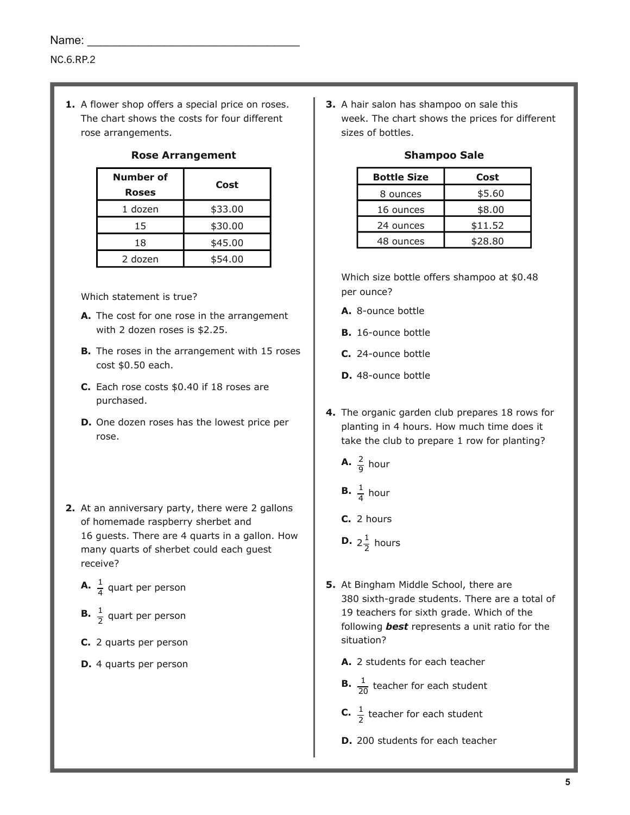**1.** A flower shop offers a special price on roses. The chart shows the costs for four different rose arrangements.

| Number of<br><b>Roses</b> | Cost    |
|---------------------------|---------|
| 1 dozen                   | \$33.00 |
| 15                        | \$30.00 |
| 18                        | \$45.00 |
| 2 dozen                   | \$54.00 |

## **Rose Arrangement**

Which statement is true?

- A. The cost for one rose in the arrangement with 2 dozen roses is \$2.25.
- **B.** The roses in the arrangement with 15 roses cost \$0.50 each.
- Each rose costs \$0.40 if 18 roses are **C.** purchased.
- **D.** One dozen roses has the lowest price per rose.
- **2.** At an anniversary party, there were 2 gallons of homemade raspberry sherbet and 16 guests. There are 4 quarts in a gallon. How many quarts of sherbet could each guest receive?
	- 1 **A.**  $\frac{1}{4}$  quart per person
	- 1 **B.**  $\frac{1}{2}$  quart per person
	- **C.** 2 quarts per person
	- **D.** 4 quarts per person

**3.** A hair salon has shampoo on sale this week. The chart shows the prices for different sizes of bottles.

| <b>Bottle Size</b> | Cost    |  |
|--------------------|---------|--|
| 8 ounces           | \$5.60  |  |
| 16 ounces          | \$8.00  |  |
| 24 ounces          | \$11.52 |  |
| 48 ounces          | \$28.80 |  |

## **Shampoo Sale**

Which size bottle offers shampoo at \$0.48 per ounce?

- **A.** 8-ounce bottle
- **B.** 16-ounce bottle
- **C.** 24-ounce bottle
- **D.** 48-ounce bottle
- **4.** The organic garden club prepares 18 rows for planting in 4 hours. How much time does it take the club to prepare 1 row for planting?
	- 2 **A.**  $\frac{2}{9}$  hour
	- 1 **B.**  $\frac{1}{4}$  hour
	- **C.** 2 hours
	- $2\frac{1}{2}$ **D.**  $2\frac{1}{2}$  hours
- **5.** At Bingham Middle School, there are 380 sixth-grade students. There are a total of 19 teachers for sixth grade. Which of the following *best* represents a unit ratio for the situation?
	- **A.** 2 students for each teacher
	- 1 **B.**  $\frac{1}{20}$  teacher for each student
	- 1 **C.**  $\frac{1}{2}$  teacher for each student
	- **D.** 200 students for each teacher